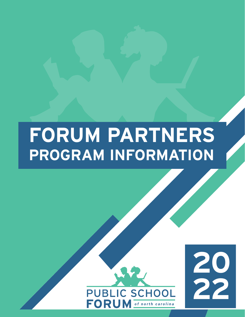# **FORUM PARTNERS PROGRAM INFORMATION**



**20**

**22**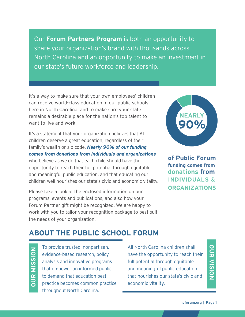Our **Forum Partners Program** is both an opportunity to share your organization's brand with thousands across North Carolina and an opportunity to make an investment in our state's future workforce and leadership.

It's a way to make sure that your own employees' children can receive world-class education in our public schools here in North Carolina, and to make sure your state remains a desirable place for the nation's top talent to want to live and work.

It's a statement that your organization believes that ALL children deserve a great education, regardless of their family's wealth or zip code. *Nearly 90% of our funding comes from donations from individuals and organizations* who believe as we do that each child should have the opportunity to reach their full potential through equitable and meaningful public education, and that educating our children well nourishes our state's civic and economic vitality.

Please take a look at the enclosed information on our programs, events and publications, and also how your Forum Partner gift might be recognized. We are happy to work with you to tailor your recognition package to best suit the needs of your organization.



**of Public Forum funding comes from donations from INDIVIDUALS & ORGANIZATIONS**

# **ABOUT THE PUBLIC SCHOOL FORUM**

**OUR MISSION OUR MISSION**

To provide trusted, nonpartisan, evidence-based research, policy analysis and innovative programs that empower an informed public to demand that education best practice becomes common practice throughout North Carolina.

All North Carolina children shall have the opportunity to reach their full potential through equitable and meaningful public education that nourishes our state's civic and economic vitality.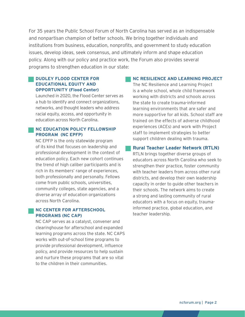For 35 years the Public School Forum of North Carolina has served as an indispensable and nonpartisan champion of better schools. We bring together individuals and institutions from business, education, nonprofits, and government to study education issues, develop ideas, seek consensus, and ultimately inform and shape education policy. Along with our policy and practice work, the Forum also provides several programs to strengthen education in our state:

#### **DUDLEY FLOOD CENTER FOR EDUCATIONAL EQUITY AND OPPORTUNITY (Flood Center)**

Launched in 2020, the Flood Center serves as a hub to identify and connect organizations, networks, and thought leaders who address racial equity, access, and opportunity in education across North Carolina.

#### **NC EDUCATION POLICY FELLOWSHIP PROGRAM (NC EPFP)**

NC EPFP is the only statewide program of its kind that focuses on leadership and professional development in the context of education policy. Each new cohort continues the trend of high caliber participants and is rich in its members' range of experiences, both professionally and personally. Fellows come from public schools, universities, community colleges, state agencies, and a diverse array of education organizations across North Carolina.

#### **NC CENTER FOR AFTERSCHOOL PROGRAMS (NC CAP)**

NC CAP serves as a catalyst, convener and clearinghouse for afterschool and expanded learning programs across the state. NC CAPS works with out-of-school time programs to provide professional development, influence policy, and provide resources to help sustain and nurture these programs that are so vital to the children in their communities.

#### **NC RESILIENCE AND LEARNING PROJECT**

The NC Resilience and Learning Project is a whole school, whole child framework working with districts and schools across the state to create trauma-informed learning environments that are safer and more supportive for all kids. School staff are trained on the effects of adverse childhood experiences (ACEs) and work with Project staff to implement strategies to better support children dealing with trauma.

#### **Rural Teacher Leader Network (RTLN)**

RTLN brings together diverse groups of educators across North Carolina who seek to strengthen their practice, foster community with teacher leaders from across other rural districts, and develop their own leadership capacity in order to guide other teachers in their schools. The network aims to create a strong and lasting community of rural educators with a focus on equity, traumainformed practice, global education, and teacher leadership.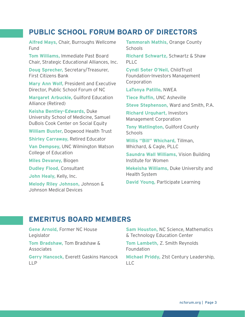# **PUBLIC SCHOOL FORUM BOARD OF DIRECTORS**

**Alfred Mays,** Chair, Burroughs Wellcome Fund

**Tom Williams,** Immediate Past Board Chair, Strategic Educational Alliances, Inc.

**Doug Sprecher,** Secretary/Treasurer, First Citizens Bank

**Mary Ann Wolf,** President and Executive Director, Public School Forum of NC

**Margaret Arbuckle,** Guilford Education Alliance (Retired)

**Keisha Bentley-Edwards,** Duke University School of Medicine, Samuel DuBois Cook Center on Social Equity

**William Buster,** Dogwood Health Trust

**Shirley Carraway,** Retired Educator

**Van Dempsey,** UNC Wilmington Watson College of Education

**Miles Devaney,** Biogen

**Dudley Flood,** Consultant

**John Healy,** Kelly, Inc.

**Melody Riley Johnson,** Johnson & Johnson Medical Devices

**Tammorah Mathis,** Orange County **Schools** 

**Richard Schwartz,** Schwartz & Shaw PLLC

**Cyndi Soter O'Neil,** ChildTrust Foundation-Investors Management Corporation

**LaTonya Patillo,** NWEA

**Tiece Ruffin,** UNC Asheville

**Steve Stephenson,** Ward and Smith, P.A.

**Richard Urquhart,** Investors Management Corporation

**Tony Watlington,** Guilford County **Schools** 

**Willis "Bill" Whichard,** Tillman, Whichard, & Cagle, PLLC

**Saundra Wall Williams,** Vision Building Institute for Women

**Mekeisha Williams,** Duke University and Health System

**David Young,** Participate Learning

# **EMERITUS BOARD MEMBERS**

**Gene Arnold,** Former NC House Legislator

**Tom Bradshaw,** Tom Bradshaw & Associates

**Gerry Hancock,** Everett Gaskins Hancock LLP

**Sam Houston,** NC Science, Mathematics & Technology Education Center

**Tom Lambeth,** Z. Smith Reynolds Foundation

**Michael Priddy,** 21st Century Leadership, LLC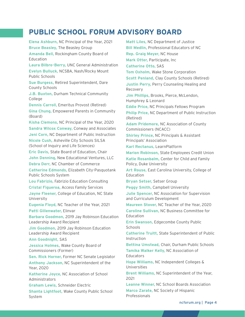# **PUBLIC SCHOOL FORUM ADVISORY BOARD**

**Elena Ashburn,** NC Principal of the Year, 2021 **Bruce Beasley,** The Beasley Group **Amanda Bell,** Rockingham County Board of Education **Laura Bilbro-Berry,** UNC General Administration **Evelyn Bulluck,** NCSBA, Nash/Rocky Mount Public Schools **Sue Burgess,** Retired Superintendent, Dare County Schools **J.B. Buxton,** Durham Technical Community College **Dennis Carroll,** Emeritus Provost (Retired) **Gina Chung,** Empowered Parents in Community (Board) **Kisha Clemons,** NC Principal of the Year, 2020 **Sandra Wilcox Conway,** Conway and Associates **Jeni Corn,** NC Department of Public Instruction **Nicole Cush,** Asheville City Schools SILSA (School of Inquiry and Life Sciences) **Eric Davis,** State Board of Education, Chair **John Denning,** New Educational Ventures, LLC **Debra Derr,** NC Chamber of Commerce **Catherine Edmonds,** Elizabeth City-Pasquotank Public Schools System **Lou Fabrizio,** Fabrizio Education Consulting **Cristal Figueroa,** Access Family Services **Jayne Fleener,** College of Education, NC State University **Eugenia Floyd,** NC Teacher of the Year, 2021 **Patti Gillenwater,** Elinvar **Barbara Goodmon,** 2019 Jay Robinson Education Leadership Award Recipient **Jim Goodmon,** 2019 Jay Robinson Education Leadership Award Recipient **Ann Goodnight,** SAS **Jessica Holmes,** Wake County Board of Commissioners (Former) **Sen. Rick Horner,** Former NC Senate Legislator **Anthony Jackson,** NC Superintendent of the Year, 2020 **Katherine Joyce,** NC Association of School Administrators **Graham Lewis,** Schneider Electric **Shanta Lightfoot,** Wake County Public School System

**Matt Liles,** NC Department of Justice **Bill Medlin,** Professional Educators of NC **Rep. Graig Meyer,** NC House **Mark Otter,** Participate, Inc **Catherine Otto,** SAS **Tom Oxholm,** Wake Stone Corporation **Scott Penland,** Clay County Schools (Retired) **Justin Perry,** Perry Counseling Healing and Recovery **Jim Phillips,** Brooks, Pierce, McLendon, Humphrey & Leonard **Eddie Price,** NC Principals Fellows Program **Philip Price,** NC Department of Public Instruction (Retired) **Adam Pridemore,** NC Association of County Commissioners (NCACC) **Shirley Prince,** NC Principals & Assistant Principals' Association **Karl Rectanus,** LearnPlatform **Marion Robinson,** State Employees Credit Union **Katie Rosanbalm,** Center for Child and Family Policy, Duke University **Art Rouse,** East Carolina University, College of Education **Bryan Setser,** Setser Group **Peggy Smith,** Campbell University **Julie Spencer,** NC Association for Supervision and Curriculum Development **Maureen Stover,** NC Teacher of the Year, 2020 **Caroline Sullivan,** NC Business Committee for Education **Erin Swanson,** Edgecombe County Public **Schools Catherine Truitt,** State Superintendent of Public Instruction **Bettina Umstead,** Chair, Durham Public Schools **Tamika Walker Kelly,** NC Association of **Educators Hope Williams,** NC Independent Colleges & Universities **Brent Williams,** NC Superintendent of the Year, 2021 **Leanne Winner,** NC School Boards Association **Marco Zarate,** NC Society of Hispanic

Professionals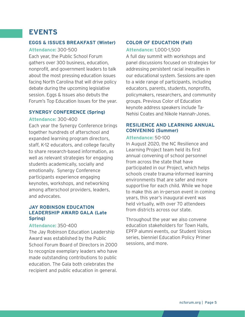# **EVENTS**

## **EGGS & ISSUES BREAKFAST (Winter)**

**Attendance:** 300-500

Each year, the Public School Forum gathers over 300 business, education, nonprofit, and government leaders to talk about the most pressing education issues facing North Carolina that will drive policy debate during the upcoming legislative session. Eggs & Issues also debuts the Forum's Top Education Issues for the year.

#### **SYNERGY CONFERENCE (Spring)**

#### **Attendance:** 300-400

Each year the Synergy Conference brings together hundreds of afterschool and expanded learning program directors, staff, K-12 educators, and college faculty to share research-based information, as well as relevant strategies for engaging students academically, socially and emotionally. Synergy Conference participants experience engaging keynotes, workshops, and networking among afterschool providers, leaders, and advocates.

## **JAY ROBINSON EDUCATION LEADERSHIP AWARD GALA (Late Spring)**

#### **Attendance:** 350-400

The Jay Robinson Education Leadership Award was established by the Public School Forum Board of Directors in 2000 to recognize exemplary leaders who have made outstanding contributions to public education. The Gala both celebrates the recipient and public education in general.

## **COLOR OF EDUCATION (Fall)**

**Attendance:** 1,000-1,500

A full day summit with workshops and panel discussions focused on strategies for addressing persistent racial inequities in our educational system. Sessions are open to a wide range of participants, including educators, parents, students, nonprofits, policymakers, researchers, and community groups. Previous Color of Education keynote address speakers include Ta-Nehisi Coates and Nikole Hannah-Jones.

## **RESILIENCE AND LEARNING ANNUAL CONVENING (Summer)**

#### **Attendance:** 50-100

In August 2020, the NC Resilience and Learning Project team held its first annual convening of school personnel from across the state that have participated in our Project, which helps schools create trauma-informed learning environments that are safer and more supportive for each child. While we hope to make this an in-person event in coming years, this year's inaugural event was held virtually, with over 70 attendees from districts across our state.

Throughout the year we also convene education stakeholders for Town Halls, EPFP alumni events, our Student Voices series, bienniel Education Policy Primer sessions, and more.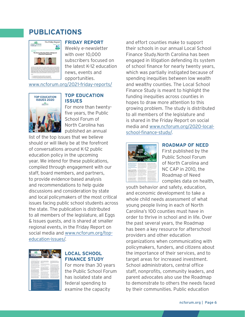# **PUBLICATIONS**



#### **FRIDAY REPORT**

Weekly e-newsletter with over 10,000 subscribers focused on the latest K-12 education news, events and opportunities.

[www.ncforum.org/2021-friday-reports/](http://www.ncforum.org/2021-friday-reports/)



**TOP EDUCATION ISSUES**

For more than twentyfive years, the Public School Forum of North Carolina has published an annual

list of the top issues that we believe should or will likely be at the forefront of conversations around K-12 public education policy in the upcoming year. We intend for these publications, compiled through engagement with our staff, board members, and partners, to provide evidence-based analysis and recommendations to help guide discussions and consideration by state and local policymakers of the most critical issues facing public school students across the state. The publication is distributed to all members of the legislature, all Eggs & Issues guests, and is shared at smaller regional events, in the Friday Report on social media an[d](http://www.ncforum.org/) [www.ncforum.org/top](https://www.ncforum.org/top-education-issues/)[education-issues/.](https://www.ncforum.org/top-education-issues/)



#### **LOCAL SCHOOL FINANCE STUDY**

For more than 30 years the Public School Forum has isolated state and federal spending to examine the capacity

and effort counties make to support their schools in our annual Local School Finance Study.North Carolina has been engaged in litigation defending its system of school finance for nearly twenty years, which was partially instigated because of spending inequities between low wealth and wealthy counties. The Local School Finance Study is meant to highlight the funding inequities across counties in hopes to draw more attention to this growing problem. The study is distributed to all members of the legislature and is shared in the Friday Report on social media and [www.ncforum.org/2020-local](http://www.ncforum.org/2020-local-school-finance-study/.)[school-finance-study/.](http://www.ncforum.org/2020-local-school-finance-study/.)



#### **ROADMAP OF NEED**

First published by the Public School Forum of North Carolina and NC CAP in 2010, the Roadmap of Need compiles data on health,

youth behavior and safety, education, and economic development to take a whole child needs assessment of what young people living in each of North Carolina's 100 counties must have in order to thrive in school and in life. Over the past several years, the Roadmap has been a key resource for afterschool providers and other education organizations when communicating with policymakers, funders, and citizens about the importance of their services, and to target areas for increased investment. School administrators, central office staff, nonprofits, community leaders, and parent advocates also use the Roadmap to demonstrate to others the needs faced by their communities. Public education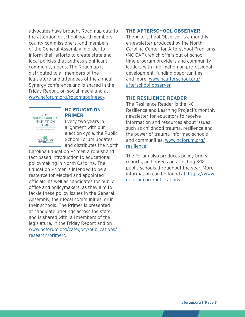advocates have brought Roadmap data to the attention of school board members, county commissioners, and members of the General Assembly in order to inform their efforts to create state and local policies that address significant community needs. The Roadmap is distributed to all members of the legislature and attendees of the annual Synergy conference,and is shared in the Friday Report, on social media and [at](http://www.ncforum.org/)  [www.ncforum.org/roadmapofneed/.](http://www.ncforum.org/roadmapofneed/)



#### **NC EDUCATION PRIMER**

Every two years in alignment with our election cycle, the Public School Forum updates and distributes the North

Carolina Education Primer, a robust and fact-based introduction to educational policymaking in North Carolina. The Education Primer is intended to be a resource for elected and appointed officials, as well as candidates for public office and policymakers, as they aim to tackle these policy issues in the General Assembly, their local communities, or in their schools. The Primer is presented at candidate briefings across the state, and is shared with all members of the legislature, in the Friday Report and on [www.ncforum.org/category/publications/](http://www.ncforum.org/category/publications/research/primer/) [research/primer/](http://www.ncforum.org/category/publications/research/primer/).

## **THE AFTERSCHOOL OBSERVER**

The Afterschool Observer is a monthly e-newsletter produced by the North Carolina Center for Afterschool Programs (NC CAP), which offers out-of-school time program providers and community leaders with information on professional development, funding opportunities and more! [www.ncafterschool.org/](http://www.ncafterschool.org/afterschool-observer) [afterschool-observer](http://www.ncafterschool.org/afterschool-observer)

#### **THE RESILIENCE READER**

The Resilience Reader is the NC Resilience and Learning Project's monthly newsletter for educators to receive information and resources about issues such as childhood trauma, resilience and the power of trauma-informed schools and communities. [www.ncforum.org/](http://www.ncforum.org/resilience) [resilience](http://www.ncforum.org/resilience)

The Forum also produces policy briefs, reports, and op-eds on affecting K-12 public schools throughout the year. More information can be found at: [https://www.](https://www.ncforum.org/publications) [ncforum.org/publications](https://www.ncforum.org/publications)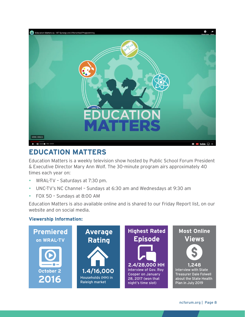

# **EDUCATION MATTERS**

Education Matters is a weekly television show hosted by Public School Forum President & Executive Director Mary Ann Wolf. The 30-minute program airs approximately 40 times each year on:

- y WRAL-TV Saturdays at 7:30 pm.
- UNC-TV's NC Channel Sundays at 6:30 am and Wednesdays at 9:30 am
- y FOX 50 Sundays at 8:00 AM

Education Matters is also available online and is shared to our Friday Report list, on our website and on social media.

## **Viewership Information:**

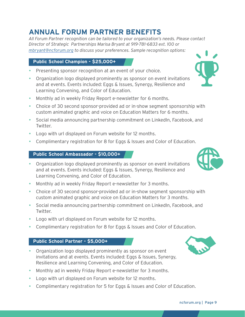# **ANNUAL FORUM PARTNER BENEFITS**

*All Forum Partner recognition can be tailored to your organization's needs. Please contact Director of Strategic Partnerships Marisa Bryant at 919-781-6833 ext. 100 or [mbryant@ncforum.org](mailto:mbryant@ncforum.org) to discuss your preferences. Sample recognition options:*

## **Public School Champion - \$25,000+**

- Presenting sponsor recognition at an event of your choice.
- Organization logo displayed prominently as sponsor on event invitations and at events. Events included: Eggs & Issues, Synergy, Resilience and Learning Convening, and Color of Education.
- Monthly ad in weekly Friday Report e-newsletter for 6 months.
- Choice of 30 second sponsor-provided ad or in-show segment sponsorship with custom animated graphic and voice on Education Matters for 6 months.
- Social media announcing partnership commitment on LinkedIn, Facebook, and Twitter.
- Logo with url displayed on Forum website for 12 months.
- Complimentary registration for 8 for Eggs & Issues and Color of Education.

## **Public School Ambassador - \$10,000+**

- Organization logo displayed prominently as sponsor on event invitations and at events. Events included: Eggs & Issues, Synergy, Resilience and Learning Convening, and Color of Education.
- Monthly ad in weekly Friday Report e-newsletter for 3 months.
- Choice of 30 second sponsor-provided ad or in-show segment sponsorship with custom animated graphic and voice on Education Matters for 3 months.
- Social media announcing partnership commitment on LinkedIn, Facebook, and Twitter.
- Logo with url displayed on Forum website for 12 months.
- Complimentary registration for 8 for Eggs & Issues and Color of Education.

## **Public School Partner - \$5,000+**

- Organization logo displayed prominently as sponsor on event invitations and at events. Events included: Eggs & Issues, Synergy, Resilience and Learning Convening, and Color of Education.
- Monthly ad in weekly Friday Report e-newsletter for 3 months.
- Logo with url displayed on Forum website for 12 months.
- Complimentary registration for 5 for Eggs & Issues and Color of Education.